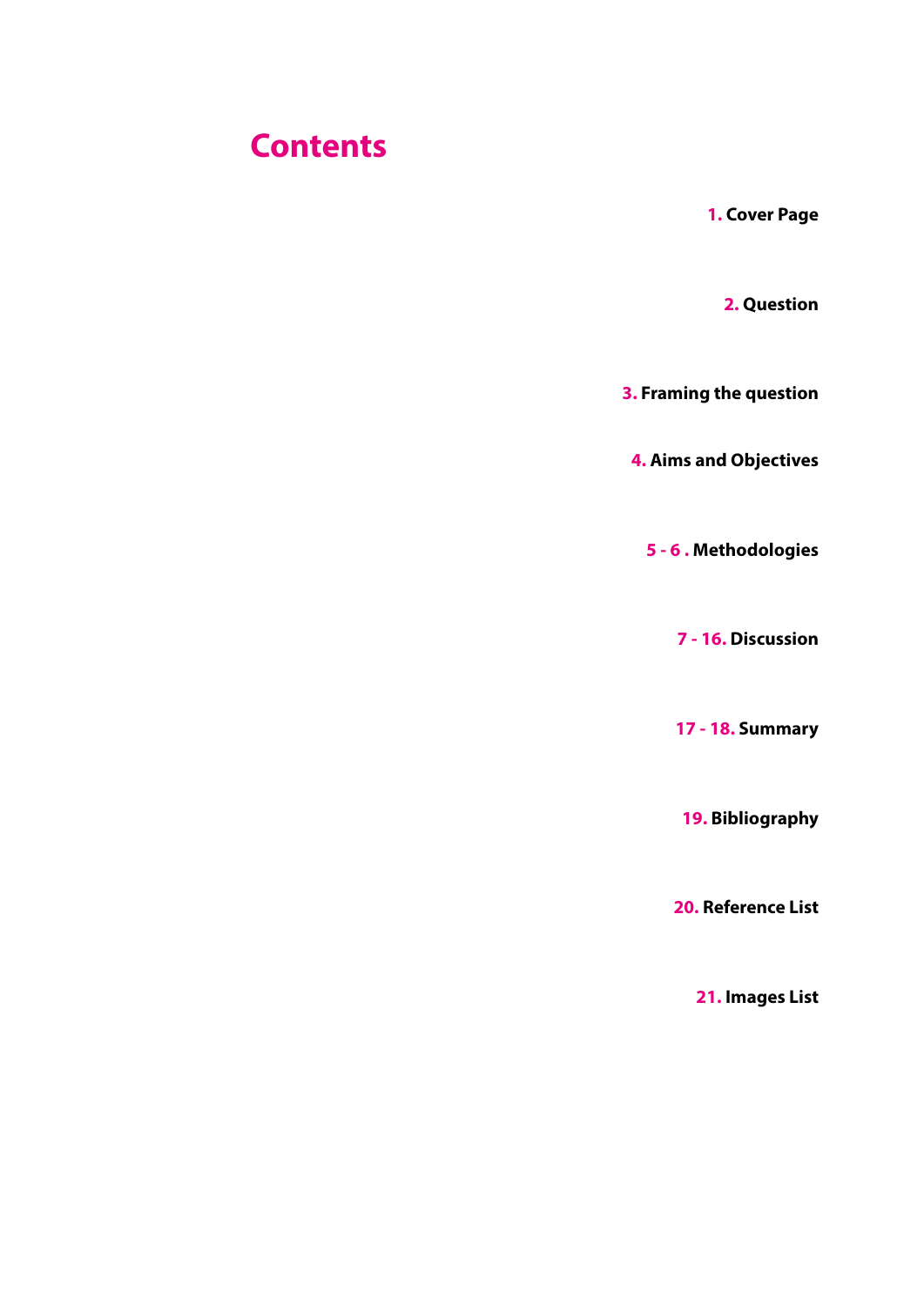#### **Contents**

**1. Cover Page**

**2. Question** 

**3. Framing the question**

**4. Aims and Objectives**

**5 - 6 . Methodologies** 

**7 - 16. Discussion**

**17 - 18. Summary**

**19. Bibliography** 

**20. Reference List**

**21. Images List**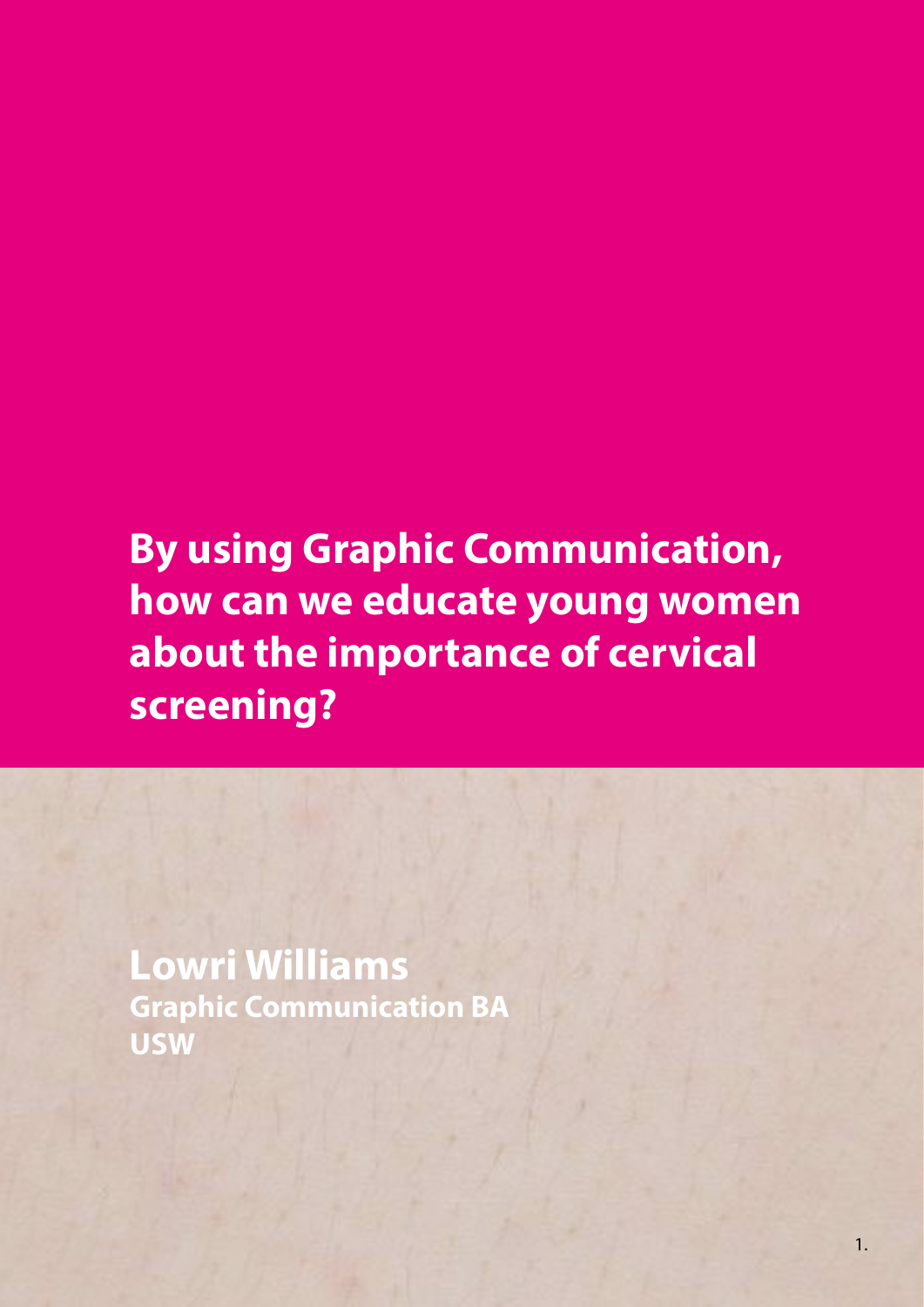# **By using Graphic Communication, how can we educate young women about the importance of cervical screening?**

**Lowri Williams Graphic Communication BA USW**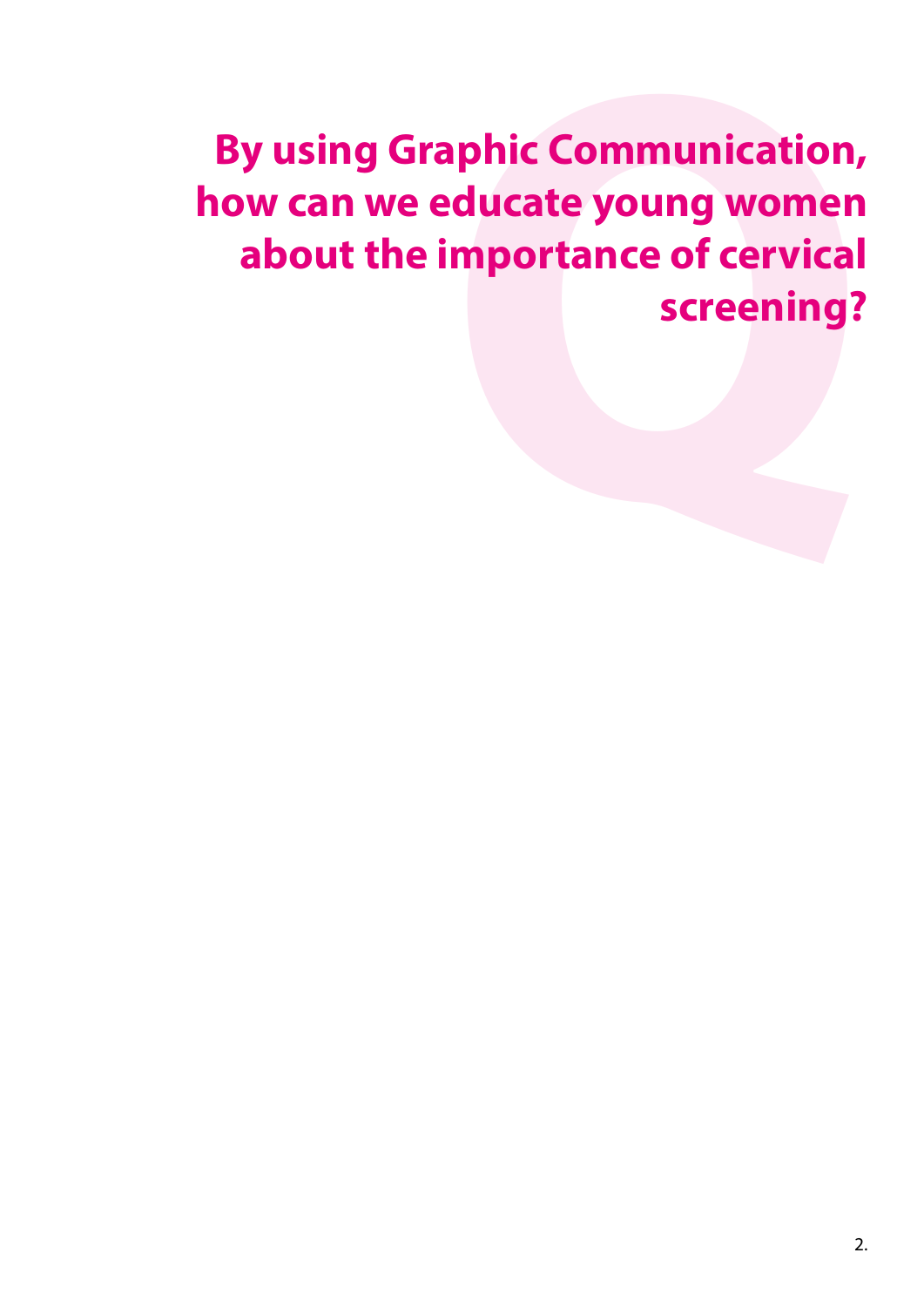# **By using Graphic Communication, how can we educate young women y** using Graphic Communication,<br>w can we educate young women<br>about the importance of cervical<br>screening?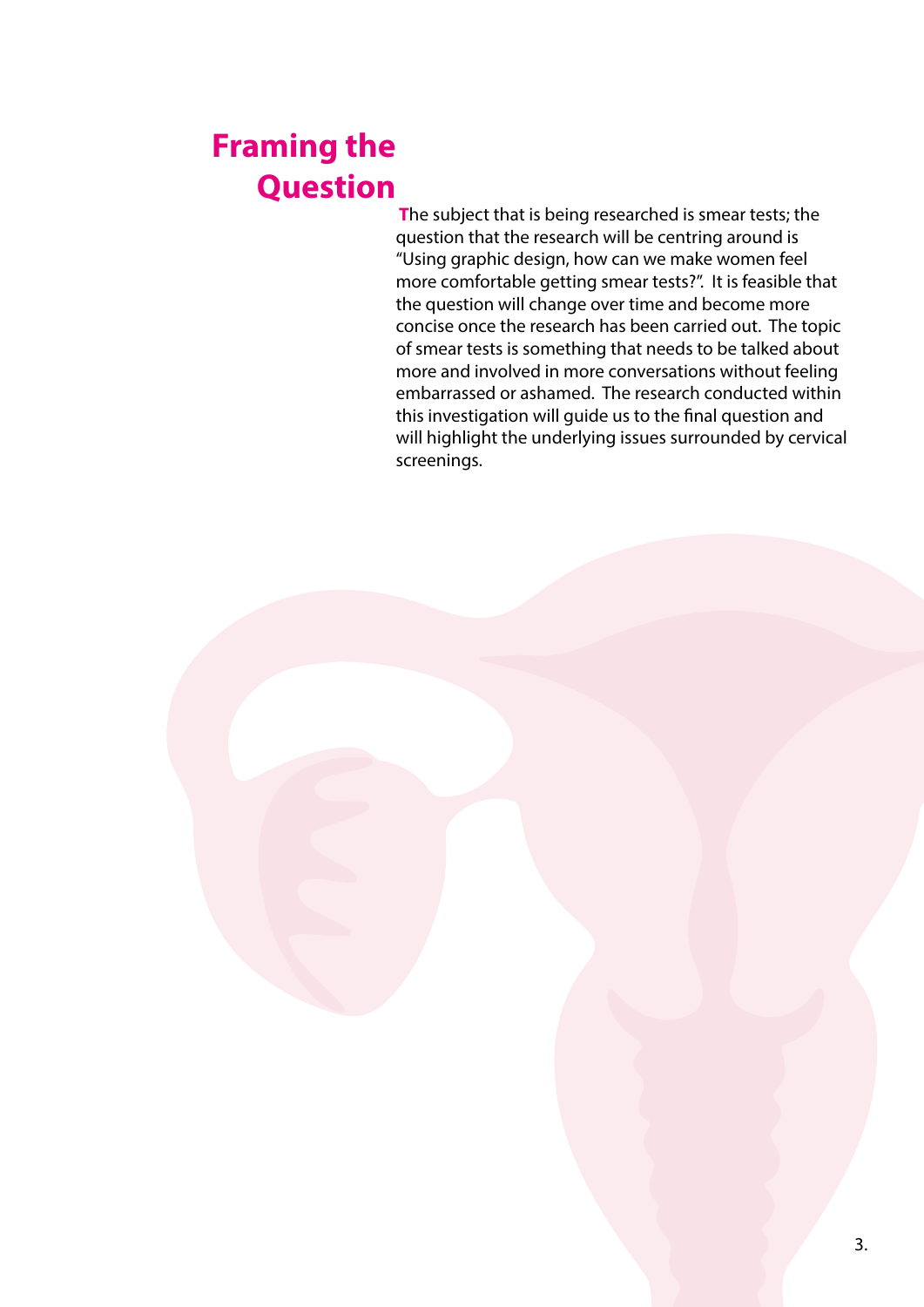## **Framing the Question**

 **T**he subject that is being researched is smear tests; the question that the research will be centring around is "Using graphic design, how can we make women feel more comfortable getting smear tests?". It is feasible that the question will change over time and become more concise once the research has been carried out. The topic of smear tests is something that needs to be talked about more and involved in more conversations without feeling embarrassed or ashamed. The research conducted within this investigation will guide us to the final question and will highlight the underlying issues surrounded by cervical screenings.

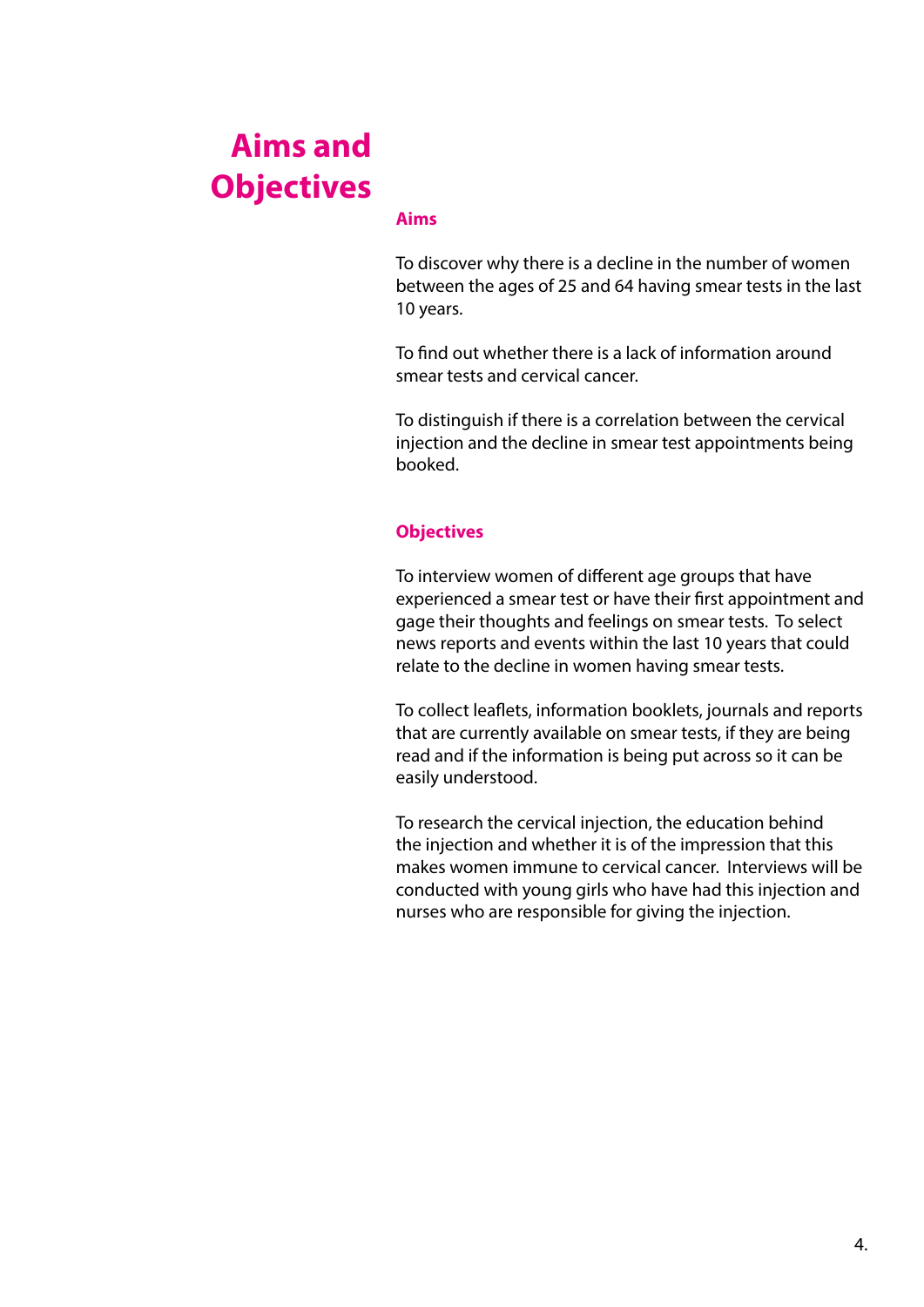## **Aims and Objectives**

#### **Aims**

To discover why there is a decline in the number of women between the ages of 25 and 64 having smear tests in the last 10 years.

To find out whether there is a lack of information around smear tests and cervical cancer.

To distinguish if there is a correlation between the cervical injection and the decline in smear test appointments being booked.

#### **Objectives**

To interview women of different age groups that have experienced a smear test or have their first appointment and gage their thoughts and feelings on smear tests. To select news reports and events within the last 10 years that could relate to the decline in women having smear tests.

To collect leaflets, information booklets, journals and reports that are currently available on smear tests, if they are being read and if the information is being put across so it can be easily understood.

To research the cervical injection, the education behind the injection and whether it is of the impression that this makes women immune to cervical cancer. Interviews will be conducted with young girls who have had this injection and nurses who are responsible for giving the injection.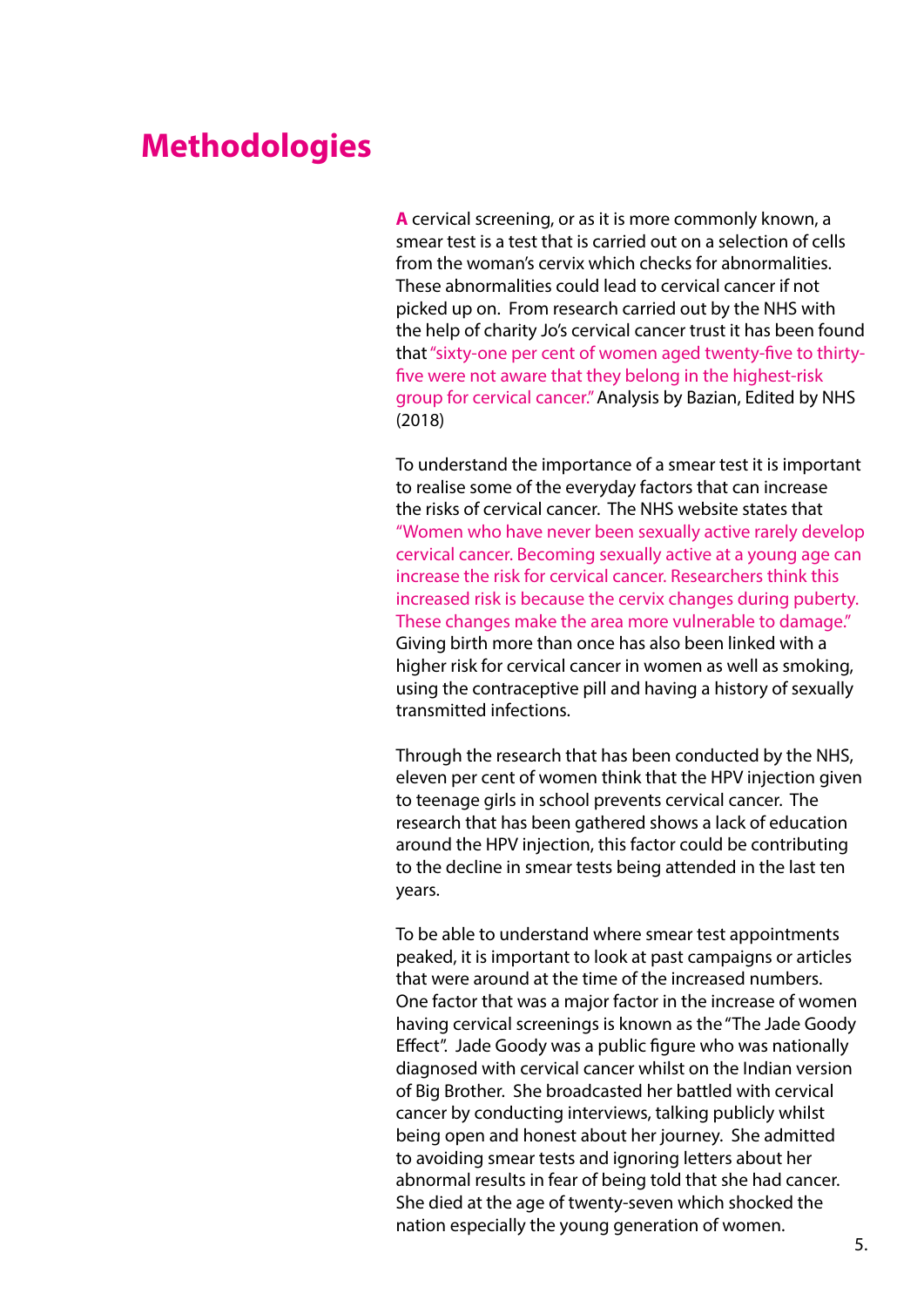#### **Methodologies**

**A** cervical screening, or as it is more commonly known, a smear test is a test that is carried out on a selection of cells from the woman's cervix which checks for abnormalities. These abnormalities could lead to cervical cancer if not picked up on. From research carried out by the NHS with the help of charity Jo's cervical cancer trust it has been found that "sixty-one per cent of women aged twenty-five to thirtyfive were not aware that they belong in the highest-risk group for cervical cancer." Analysis by Bazian, Edited by NHS (2018)

To understand the importance of a smear test it is important to realise some of the everyday factors that can increase the risks of cervical cancer. The NHS website states that "Women who have never been sexually active rarely develop cervical cancer. Becoming sexually active at a young age can increase the risk for cervical cancer. Researchers think this increased risk is because the cervix changes during puberty. These changes make the area more vulnerable to damage." Giving birth more than once has also been linked with a higher risk for cervical cancer in women as well as smoking, using the contraceptive pill and having a history of sexually transmitted infections.

Through the research that has been conducted by the NHS, eleven per cent of women think that the HPV injection given to teenage girls in school prevents cervical cancer. The research that has been gathered shows a lack of education around the HPV injection, this factor could be contributing to the decline in smear tests being attended in the last ten years.

To be able to understand where smear test appointments peaked, it is important to look at past campaigns or articles that were around at the time of the increased numbers. One factor that was a major factor in the increase of women having cervical screenings is known as the "The Jade Goody Effect". Jade Goody was a public figure who was nationally diagnosed with cervical cancer whilst on the Indian version of Big Brother. She broadcasted her battled with cervical cancer by conducting interviews, talking publicly whilst being open and honest about her journey. She admitted to avoiding smear tests and ignoring letters about her abnormal results in fear of being told that she had cancer. She died at the age of twenty-seven which shocked the nation especially the young generation of women.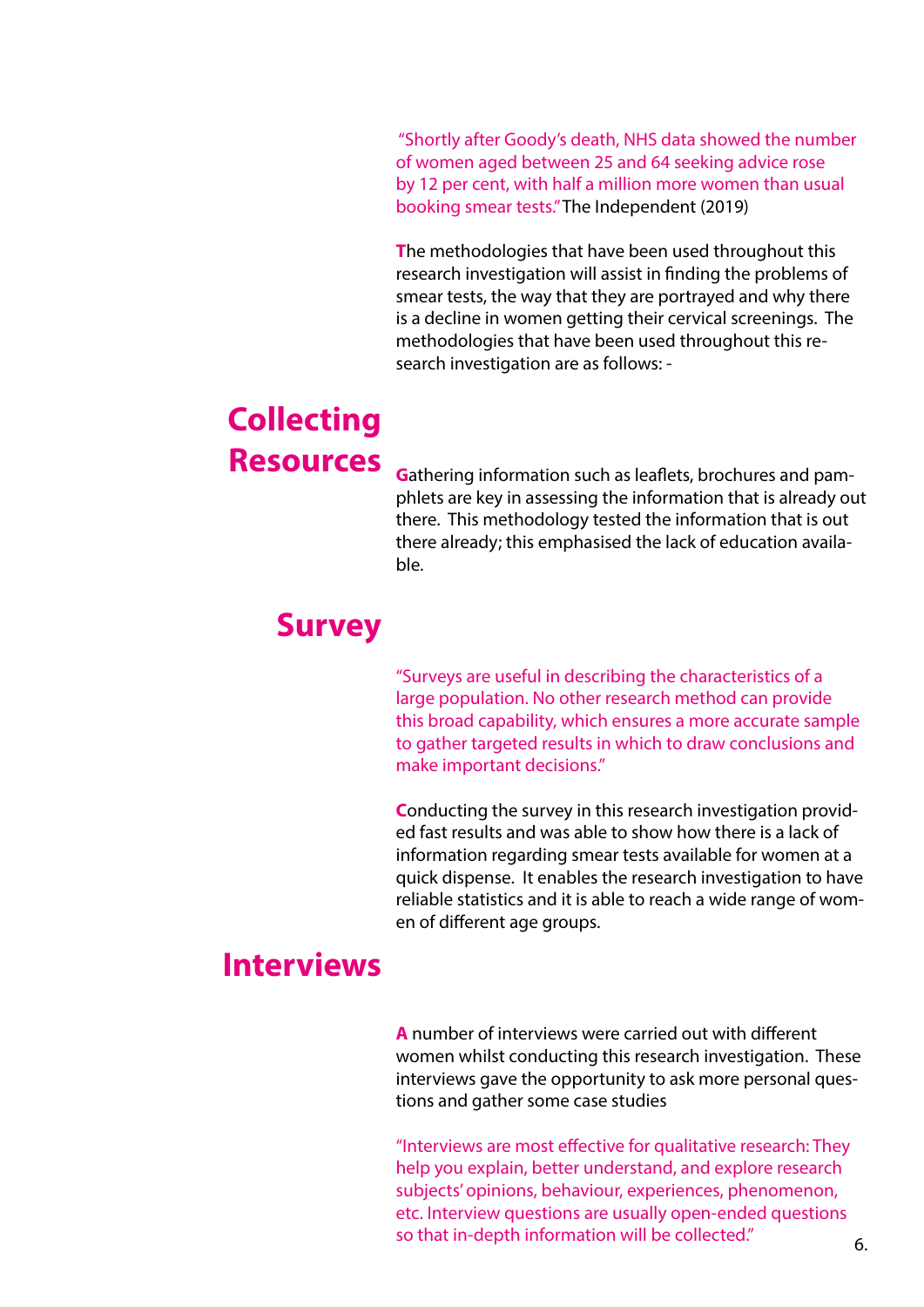"Shortly after Goody's death, NHS data showed the number of women aged between 25 and 64 seeking advice rose by 12 per cent, with half a million more women than usual booking smear tests." The Independent (2019)

**T**he methodologies that have been used throughout this research investigation will assist in finding the problems of smear tests, the way that they are portrayed and why there is a decline in women getting their cervical screenings. The methodologies that have been used throughout this research investigation are as follows: -

### **Collecting Resources**

**G**athering information such as leaflets, brochures and pamphlets are key in assessing the information that is already out there. This methodology tested the information that is out there already; this emphasised the lack of education available.

#### **Survey**

"Surveys are useful in describing the characteristics of a large population. No other research method can provide this broad capability, which ensures a more accurate sample to gather targeted results in which to draw conclusions and make important decisions."

**C**onducting the survey in this research investigation provided fast results and was able to show how there is a lack of information regarding smear tests available for women at a quick dispense. It enables the research investigation to have reliable statistics and it is able to reach a wide range of women of different age groups.

#### **Interviews**

**A** number of interviews were carried out with different women whilst conducting this research investigation. These interviews gave the opportunity to ask more personal questions and gather some case studies

"Interviews are most effective for qualitative research: They help you explain, better understand, and explore research subjects' opinions, behaviour, experiences, phenomenon, etc. Interview questions are usually open-ended questions so that in-depth information will be collected."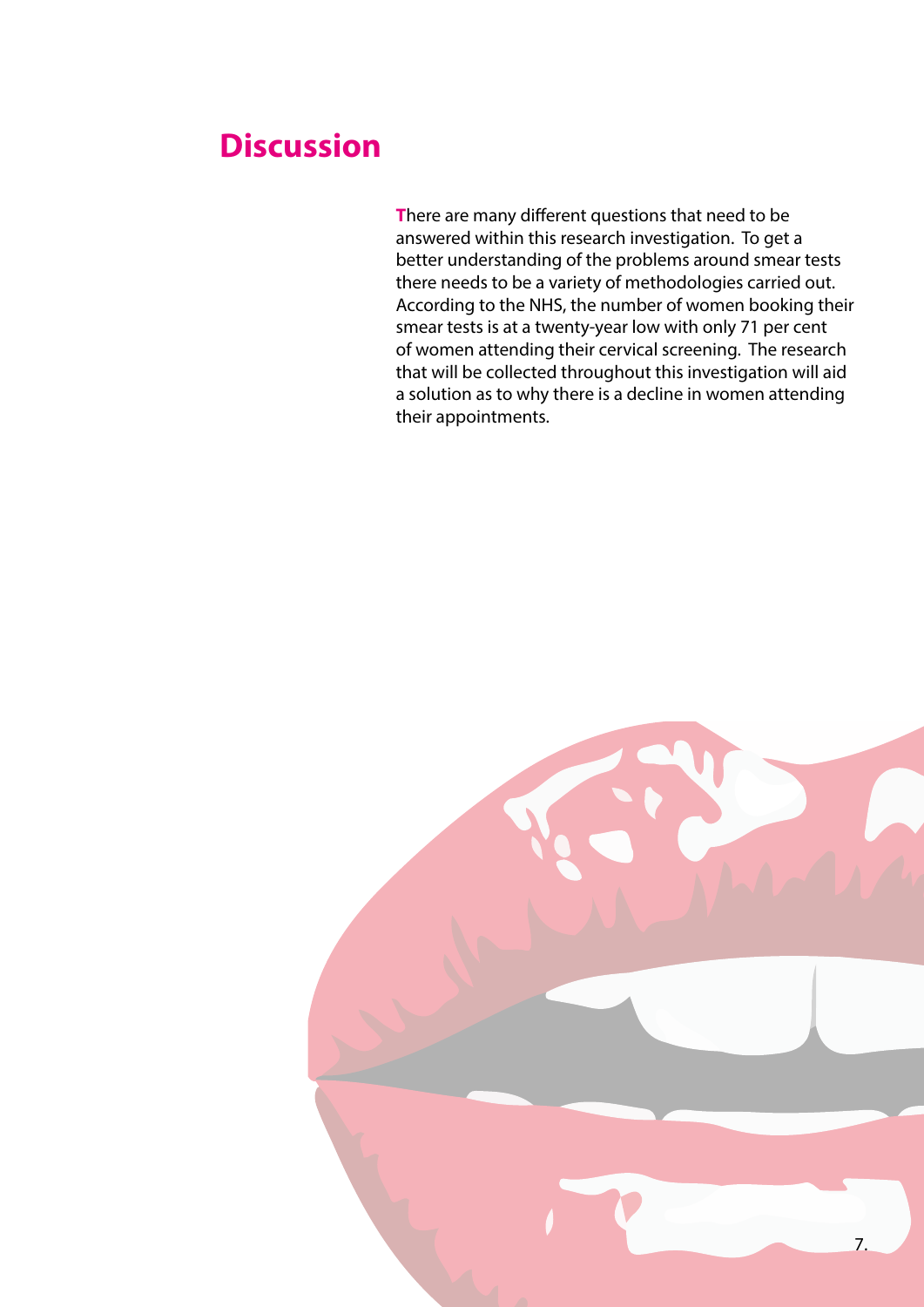#### **Discussion**

**T**here are many different questions that need to be answered within this research investigation. To get a better understanding of the problems around smear tests there needs to be a variety of methodologies carried out. According to the NHS, the number of women booking their smear tests is at a twenty-year low with only 71 per cent of women attending their cervical screening. The research that will be collected throughout this investigation will aid a solution as to why there is a decline in women attending their appointments.

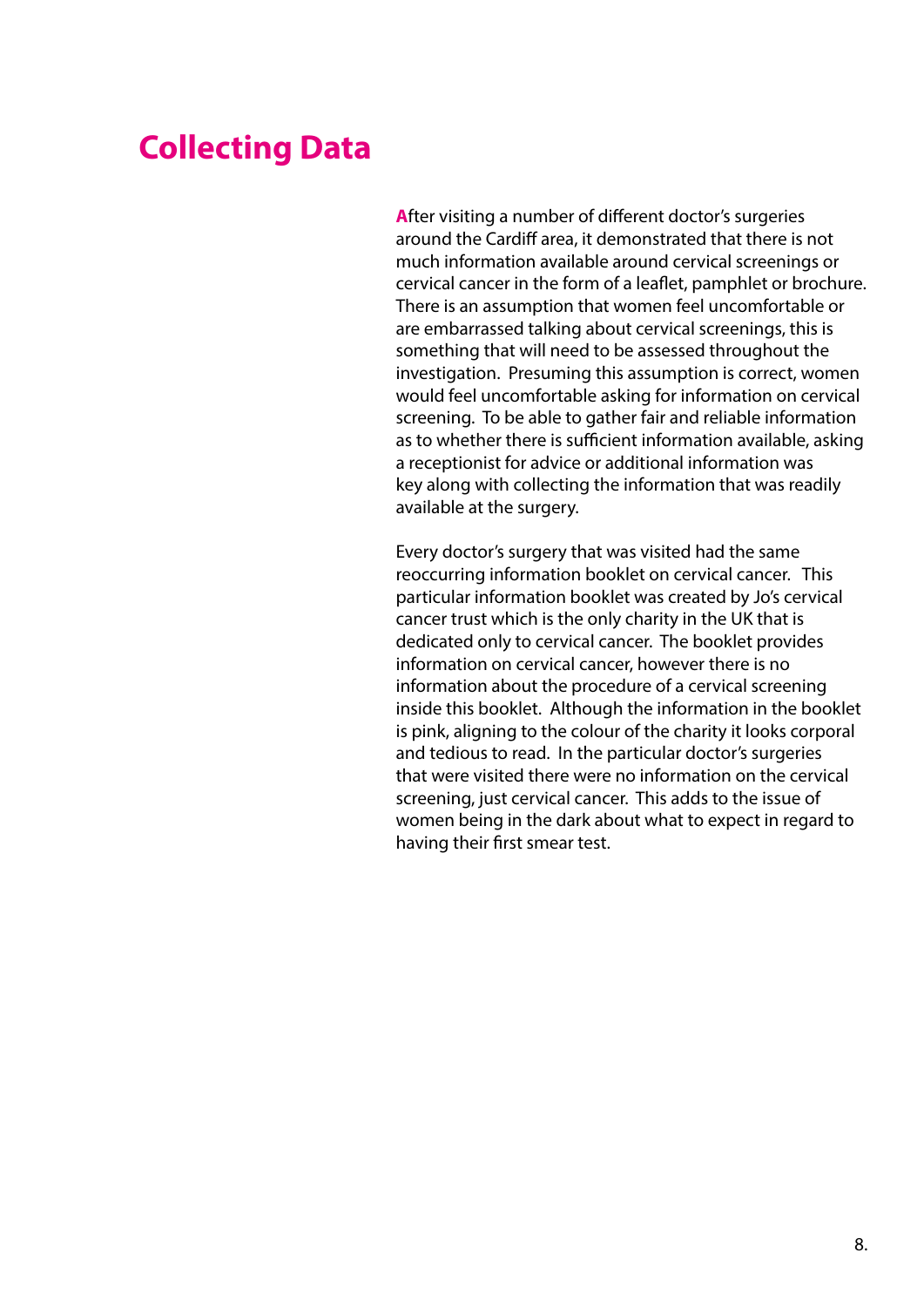### **Collecting Data**

**A**fter visiting a number of different doctor's surgeries around the Cardiff area, it demonstrated that there is not much information available around cervical screenings or cervical cancer in the form of a leaflet, pamphlet or brochure. There is an assumption that women feel uncomfortable or are embarrassed talking about cervical screenings, this is something that will need to be assessed throughout the investigation. Presuming this assumption is correct, women would feel uncomfortable asking for information on cervical screening. To be able to gather fair and reliable information as to whether there is sufficient information available, asking a receptionist for advice or additional information was key along with collecting the information that was readily available at the surgery.

Every doctor's surgery that was visited had the same reoccurring information booklet on cervical cancer. This particular information booklet was created by Jo's cervical cancer trust which is the only charity in the UK that is dedicated only to cervical cancer. The booklet provides information on cervical cancer, however there is no information about the procedure of a cervical screening inside this booklet. Although the information in the booklet is pink, aligning to the colour of the charity it looks corporal and tedious to read. In the particular doctor's surgeries that were visited there were no information on the cervical screening, just cervical cancer. This adds to the issue of women being in the dark about what to expect in regard to having their first smear test.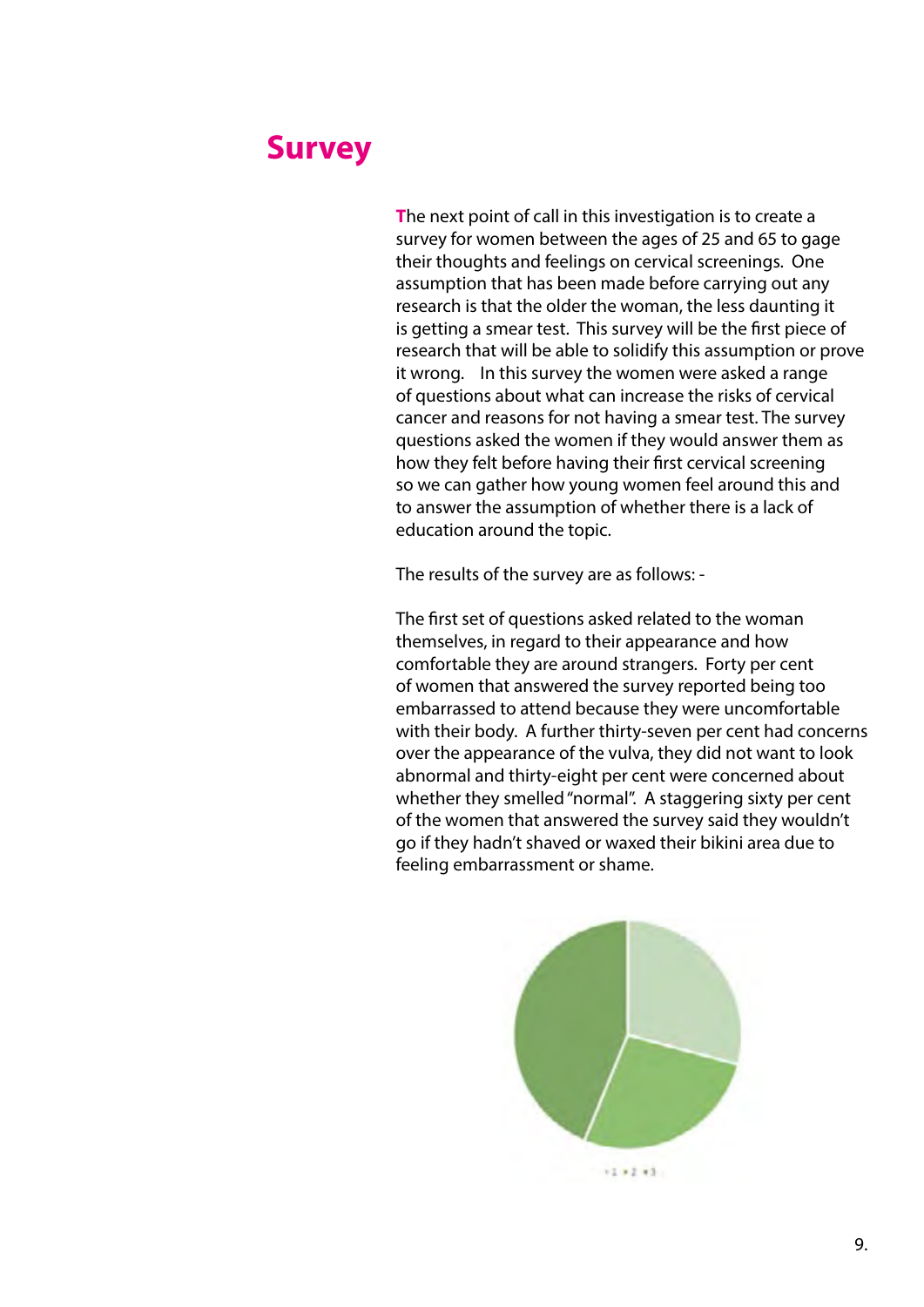#### **Survey**

**T**he next point of call in this investigation is to create a survey for women between the ages of 25 and 65 to gage their thoughts and feelings on cervical screenings. One assumption that has been made before carrying out any research is that the older the woman, the less daunting it is getting a smear test. This survey will be the first piece of research that will be able to solidify this assumption or prove it wrong. In this survey the women were asked a range of questions about what can increase the risks of cervical cancer and reasons for not having a smear test. The survey questions asked the women if they would answer them as how they felt before having their first cervical screening so we can gather how young women feel around this and to answer the assumption of whether there is a lack of education around the topic.

The results of the survey are as follows: -

The first set of questions asked related to the woman themselves, in regard to their appearance and how comfortable they are around strangers. Forty per cent of women that answered the survey reported being too embarrassed to attend because they were uncomfortable with their body. A further thirty-seven per cent had concerns over the appearance of the vulva, they did not want to look abnormal and thirty-eight per cent were concerned about whether they smelled "normal". A staggering sixty per cent of the women that answered the survey said they wouldn't go if they hadn't shaved or waxed their bikini area due to feeling embarrassment or shame.

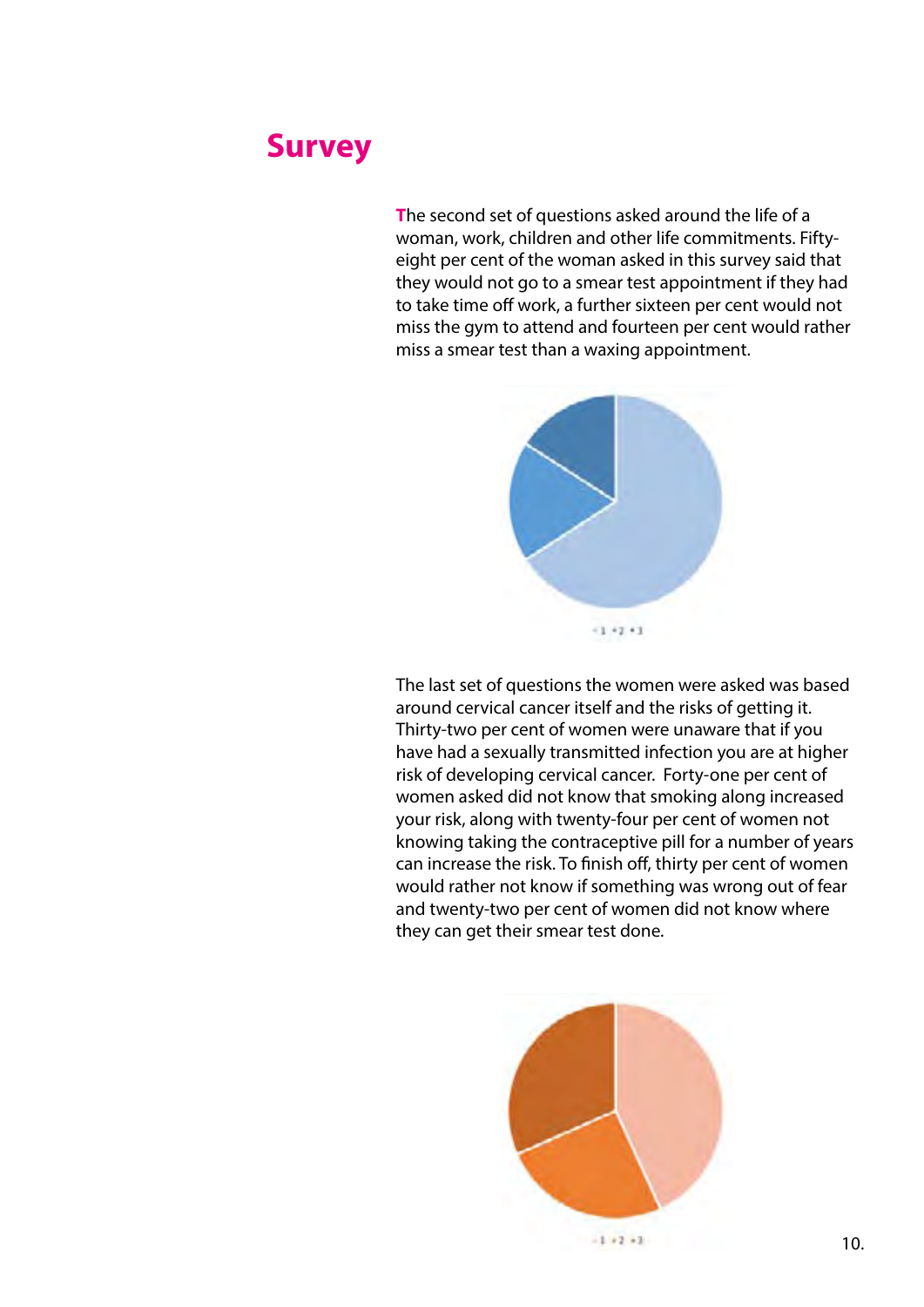#### **Survey**

**T**he second set of questions asked around the life of a woman, work, children and other life commitments. Fiftyeight per cent of the woman asked in this survey said that they would not go to a smear test appointment if they had to take time off work, a further sixteen per cent would not miss the gym to attend and fourteen per cent would rather miss a smear test than a waxing appointment.



The last set of questions the women were asked was based around cervical cancer itself and the risks of getting it. Thirty-two per cent of women were unaware that if you have had a sexually transmitted infection you are at higher risk of developing cervical cancer. Forty-one per cent of women asked did not know that smoking along increased your risk, along with twenty-four per cent of women not knowing taking the contraceptive pill for a number of years can increase the risk. To finish off, thirty per cent of women would rather not know if something was wrong out of fear and twenty-two per cent of women did not know where they can get their smear test done.



 $-1+2+3$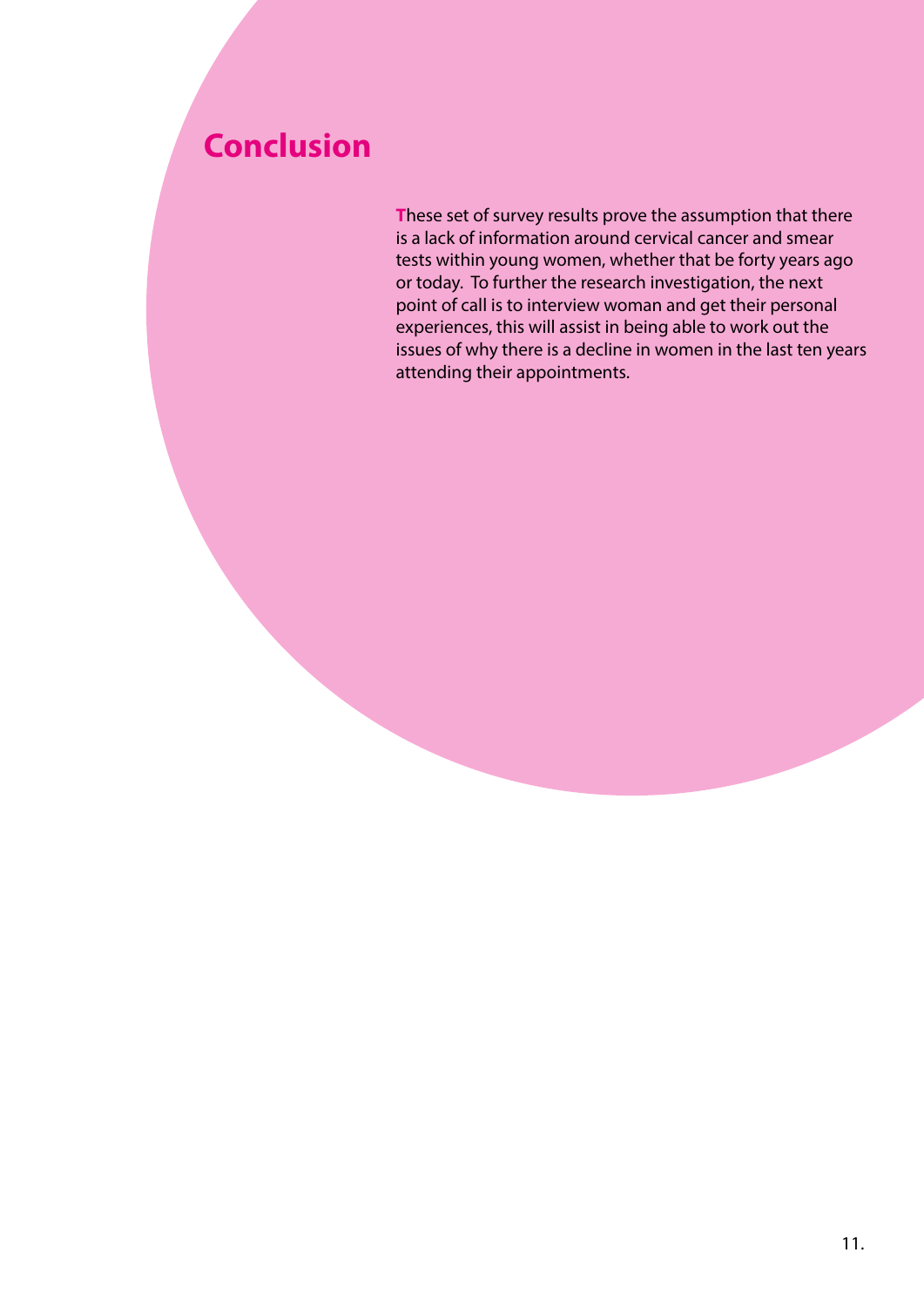## **Conclusion**

**T**hese set of survey results prove the assumption that there is a lack of information around cervical cancer and smear tests within young women, whether that be forty years ago or today. To further the research investigation, the next point of call is to interview woman and get their personal experiences, this will assist in being able to work out the issues of why there is a decline in women in the last ten years attending their appointments.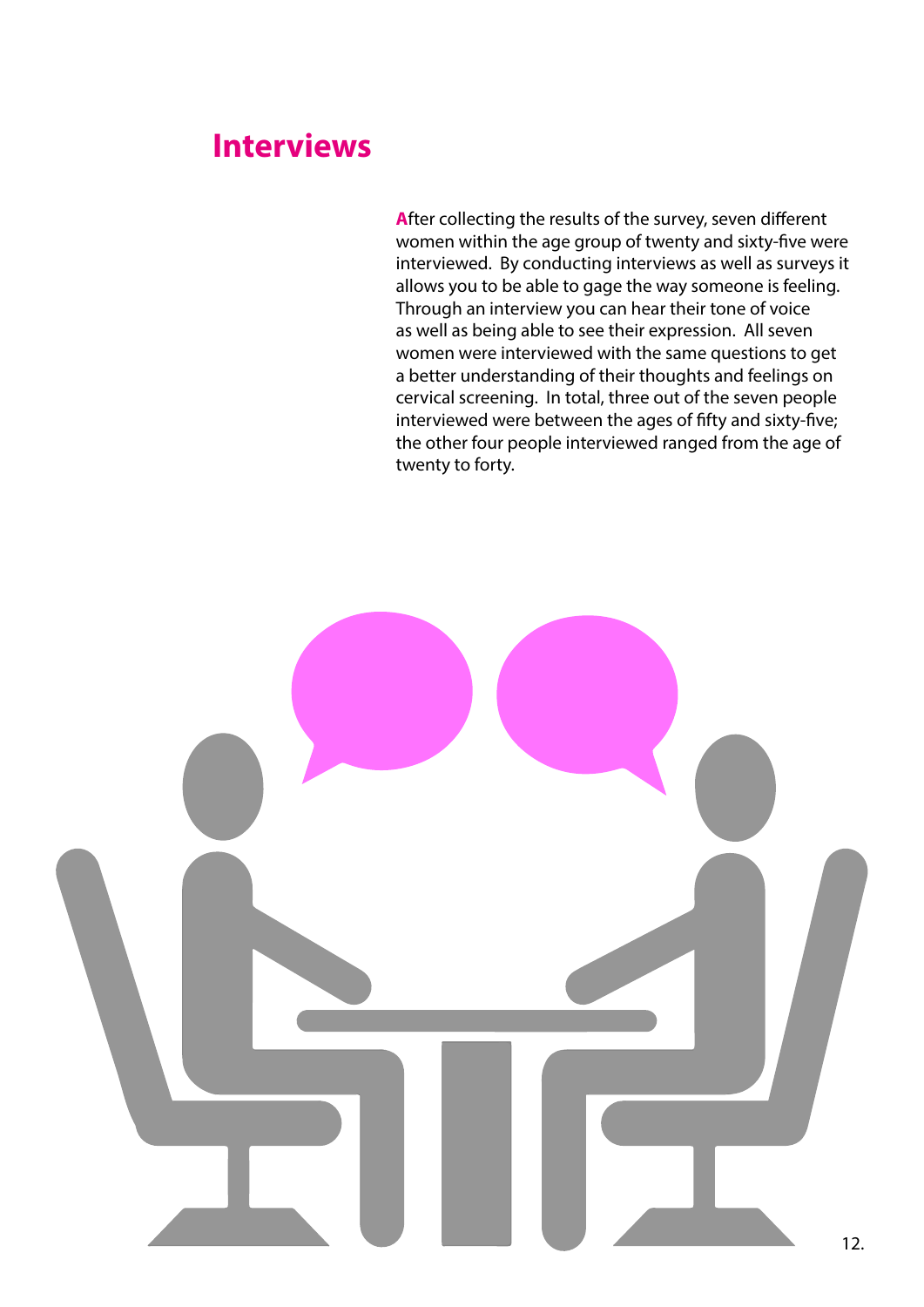#### **Interviews**

**A**fter collecting the results of the survey, seven different women within the age group of twenty and sixty-five were interviewed. By conducting interviews as well as surveys it allows you to be able to gage the way someone is feeling. Through an interview you can hear their tone of voice as well as being able to see their expression. All seven women were interviewed with the same questions to get a better understanding of their thoughts and feelings on cervical screening. In total, three out of the seven people interviewed were between the ages of fifty and sixty-five; the other four people interviewed ranged from the age of twenty to forty.

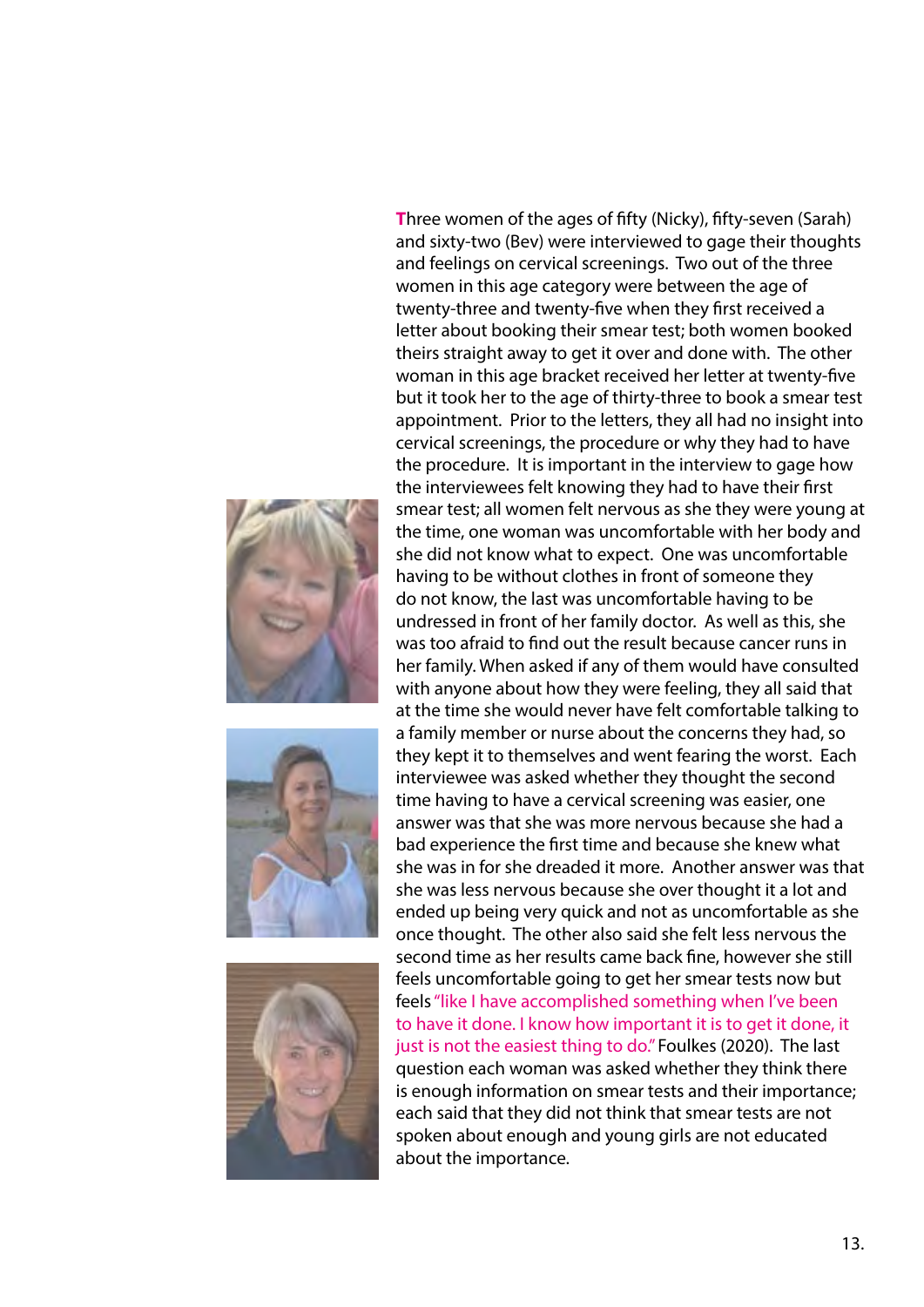





**T**hree women of the ages of fifty (Nicky), fifty-seven (Sarah) and sixty-two (Bev) were interviewed to gage their thoughts and feelings on cervical screenings. Two out of the three women in this age category were between the age of twenty-three and twenty-five when they first received a letter about booking their smear test; both women booked theirs straight away to get it over and done with. The other woman in this age bracket received her letter at twenty-five but it took her to the age of thirty-three to book a smear test appointment. Prior to the letters, they all had no insight into cervical screenings, the procedure or why they had to have the procedure. It is important in the interview to gage how the interviewees felt knowing they had to have their first smear test; all women felt nervous as she they were young at the time, one woman was uncomfortable with her body and she did not know what to expect. One was uncomfortable having to be without clothes in front of someone they do not know, the last was uncomfortable having to be undressed in front of her family doctor. As well as this, she was too afraid to find out the result because cancer runs in her family. When asked if any of them would have consulted with anyone about how they were feeling, they all said that at the time she would never have felt comfortable talking to a family member or nurse about the concerns they had, so they kept it to themselves and went fearing the worst. Each interviewee was asked whether they thought the second time having to have a cervical screening was easier, one answer was that she was more nervous because she had a bad experience the first time and because she knew what she was in for she dreaded it more. Another answer was that she was less nervous because she over thought it a lot and ended up being very quick and not as uncomfortable as she once thought. The other also said she felt less nervous the second time as her results came back fine, however she still feels uncomfortable going to get her smear tests now but feels "like I have accomplished something when I've been to have it done. I know how important it is to get it done, it just is not the easiest thing to do." Foulkes (2020). The last question each woman was asked whether they think there is enough information on smear tests and their importance; each said that they did not think that smear tests are not spoken about enough and young girls are not educated about the importance.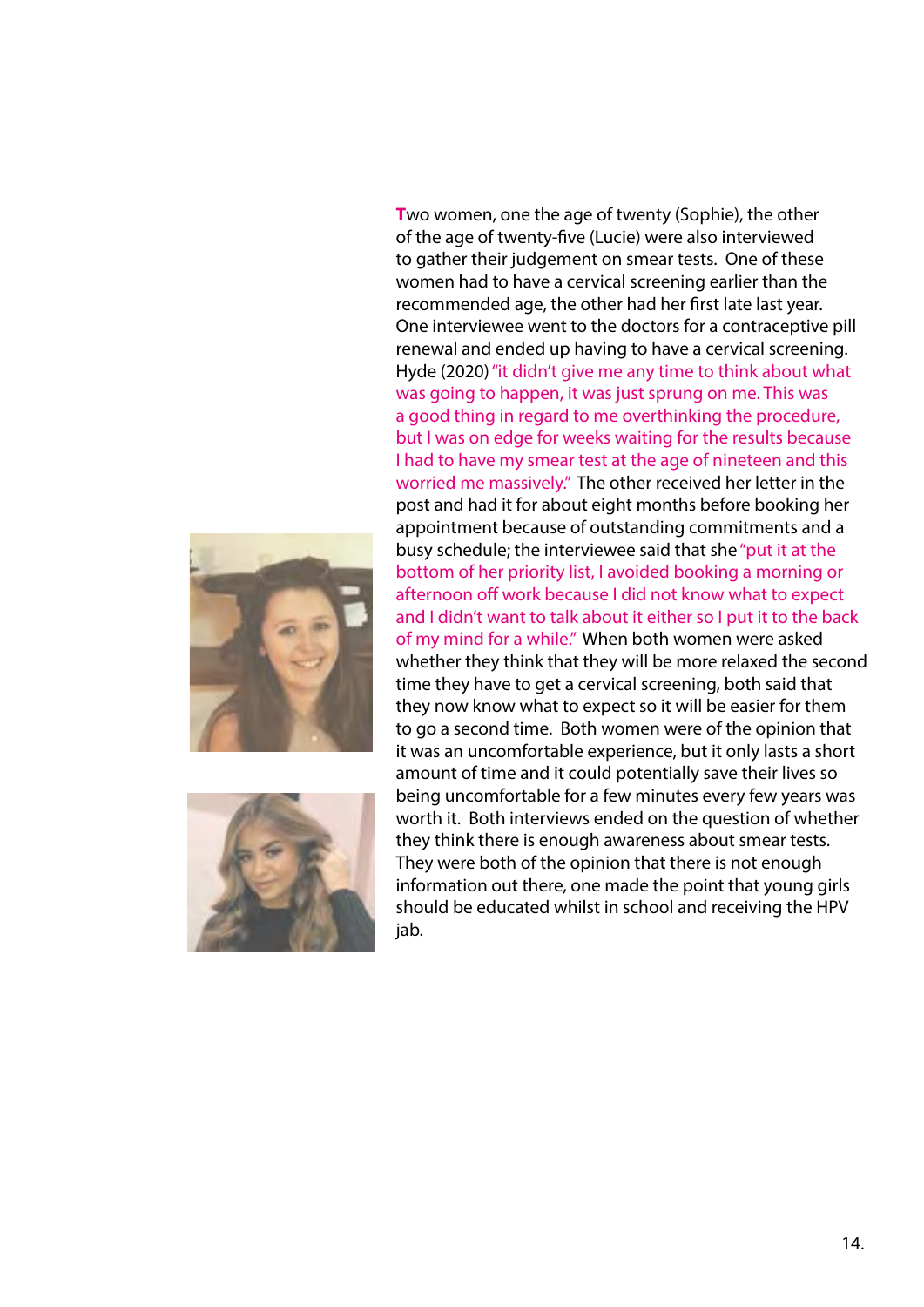



**T**wo women, one the age of twenty (Sophie), the other of the age of twenty-five (Lucie) were also interviewed to gather their judgement on smear tests. One of these women had to have a cervical screening earlier than the recommended age, the other had her first late last year. One interviewee went to the doctors for a contraceptive pill renewal and ended up having to have a cervical screening. Hyde (2020) "it didn't give me any time to think about what was going to happen, it was just sprung on me. This was a good thing in regard to me overthinking the procedure, but I was on edge for weeks waiting for the results because I had to have my smear test at the age of nineteen and this worried me massively." The other received her letter in the post and had it for about eight months before booking her appointment because of outstanding commitments and a busy schedule; the interviewee said that she "put it at the bottom of her priority list, I avoided booking a morning or afternoon off work because I did not know what to expect and I didn't want to talk about it either so I put it to the back of my mind for a while." When both women were asked whether they think that they will be more relaxed the second time they have to get a cervical screening, both said that they now know what to expect so it will be easier for them to go a second time. Both women were of the opinion that it was an uncomfortable experience, but it only lasts a short amount of time and it could potentially save their lives so being uncomfortable for a few minutes every few years was worth it. Both interviews ended on the question of whether they think there is enough awareness about smear tests. They were both of the opinion that there is not enough information out there, one made the point that young girls should be educated whilst in school and receiving the HPV jab.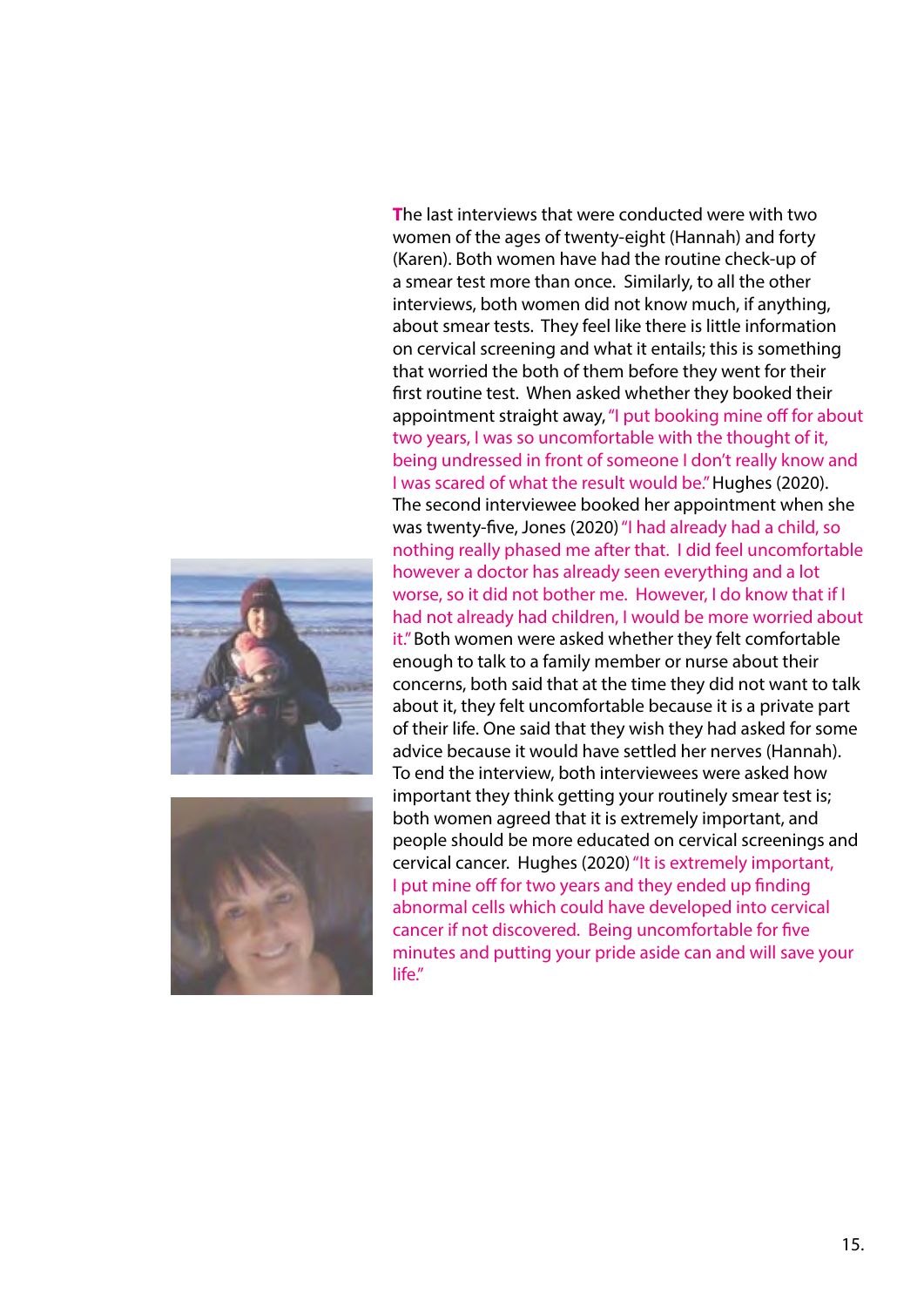



**T**he last interviews that were conducted were with two women of the ages of twenty-eight (Hannah) and forty (Karen). Both women have had the routine check-up of a smear test more than once. Similarly, to all the other interviews, both women did not know much, if anything, about smear tests. They feel like there is little information on cervical screening and what it entails; this is something that worried the both of them before they went for their first routine test. When asked whether they booked their appointment straight away, "I put booking mine off for about two years, I was so uncomfortable with the thought of it, being undressed in front of someone I don't really know and I was scared of what the result would be." Hughes (2020). The second interviewee booked her appointment when she was twenty-five, Jones (2020) "I had already had a child, so nothing really phased me after that. I did feel uncomfortable however a doctor has already seen everything and a lot worse, so it did not bother me. However, I do know that if I had not already had children, I would be more worried about it." Both women were asked whether they felt comfortable enough to talk to a family member or nurse about their concerns, both said that at the time they did not want to talk about it, they felt uncomfortable because it is a private part of their life. One said that they wish they had asked for some advice because it would have settled her nerves (Hannah). To end the interview, both interviewees were asked how important they think getting your routinely smear test is; both women agreed that it is extremely important, and people should be more educated on cervical screenings and cervical cancer. Hughes (2020) "It is extremely important, I put mine off for two years and they ended up finding abnormal cells which could have developed into cervical cancer if not discovered. Being uncomfortable for five minutes and putting your pride aside can and will save your life."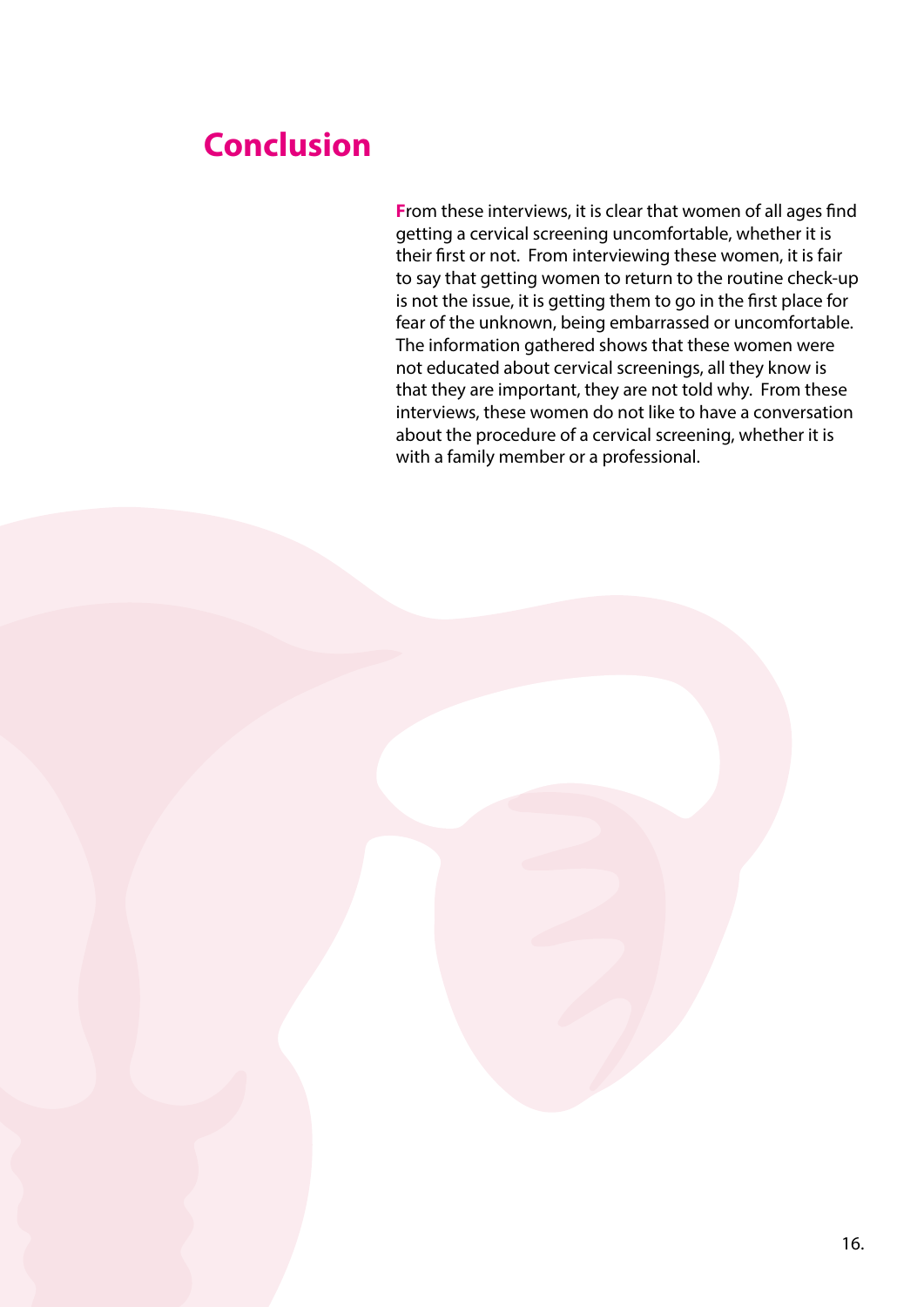## **Conclusion**

**F**rom these interviews, it is clear that women of all ages find getting a cervical screening uncomfortable, whether it is their first or not. From interviewing these women, it is fair to say that getting women to return to the routine check-up is not the issue, it is getting them to go in the first place for fear of the unknown, being embarrassed or uncomfortable. The information gathered shows that these women were not educated about cervical screenings, all they know is that they are important, they are not told why. From these interviews, these women do not like to have a conversation about the procedure of a cervical screening, whether it is with a family member or a professional.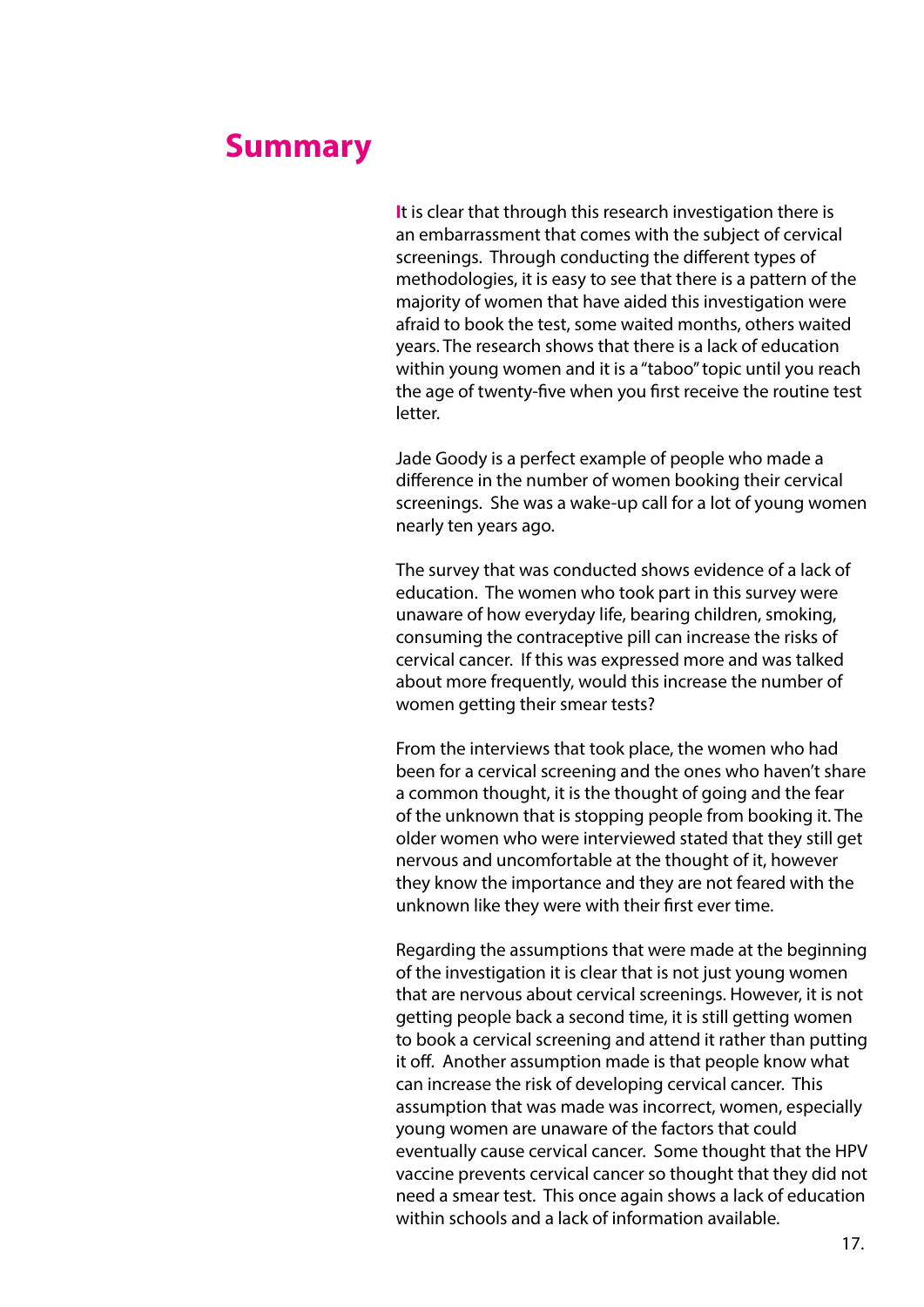#### **Summary**

**I**t is clear that through this research investigation there is an embarrassment that comes with the subject of cervical screenings. Through conducting the different types of methodologies, it is easy to see that there is a pattern of the majority of women that have aided this investigation were afraid to book the test, some waited months, others waited years. The research shows that there is a lack of education within young women and it is a "taboo" topic until you reach the age of twenty-five when you first receive the routine test letter.

Jade Goody is a perfect example of people who made a difference in the number of women booking their cervical screenings. She was a wake-up call for a lot of young women nearly ten years ago.

The survey that was conducted shows evidence of a lack of education. The women who took part in this survey were unaware of how everyday life, bearing children, smoking, consuming the contraceptive pill can increase the risks of cervical cancer. If this was expressed more and was talked about more frequently, would this increase the number of women getting their smear tests?

From the interviews that took place, the women who had been for a cervical screening and the ones who haven't share a common thought, it is the thought of going and the fear of the unknown that is stopping people from booking it. The older women who were interviewed stated that they still get nervous and uncomfortable at the thought of it, however they know the importance and they are not feared with the unknown like they were with their first ever time.

Regarding the assumptions that were made at the beginning of the investigation it is clear that is not just young women that are nervous about cervical screenings. However, it is not getting people back a second time, it is still getting women to book a cervical screening and attend it rather than putting it off. Another assumption made is that people know what can increase the risk of developing cervical cancer. This assumption that was made was incorrect, women, especially young women are unaware of the factors that could eventually cause cervical cancer. Some thought that the HPV vaccine prevents cervical cancer so thought that they did not need a smear test. This once again shows a lack of education within schools and a lack of information available.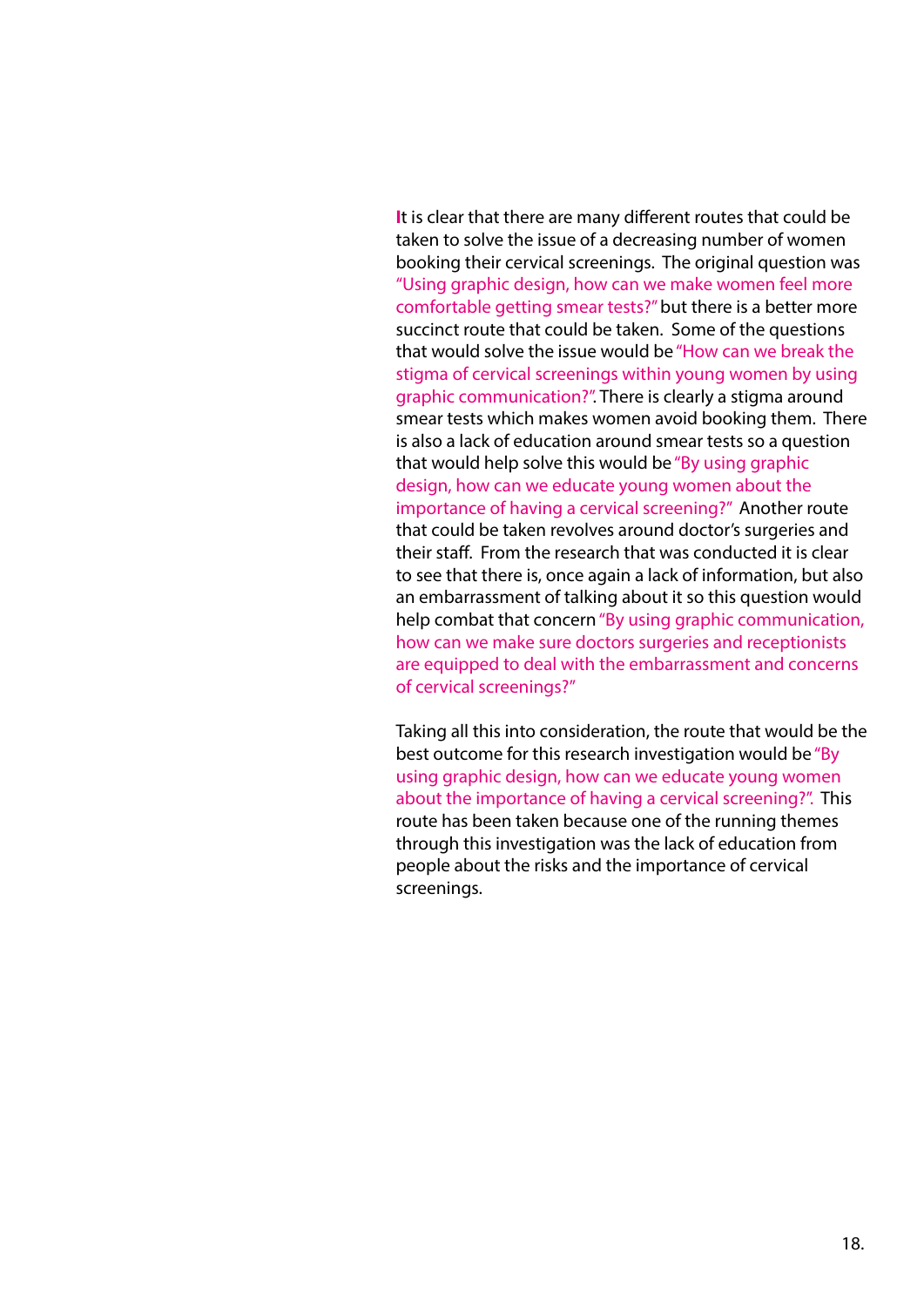**I**t is clear that there are many different routes that could be taken to solve the issue of a decreasing number of women booking their cervical screenings. The original question was "Using graphic design, how can we make women feel more comfortable getting smear tests?" but there is a better more succinct route that could be taken. Some of the questions that would solve the issue would be "How can we break the stigma of cervical screenings within young women by using graphic communication?". There is clearly a stigma around smear tests which makes women avoid booking them. There is also a lack of education around smear tests so a question that would help solve this would be "By using graphic design, how can we educate young women about the importance of having a cervical screening?" Another route that could be taken revolves around doctor's surgeries and their staff. From the research that was conducted it is clear to see that there is, once again a lack of information, but also an embarrassment of talking about it so this question would help combat that concern "By using graphic communication, how can we make sure doctors surgeries and receptionists are equipped to deal with the embarrassment and concerns of cervical screenings?"

Taking all this into consideration, the route that would be the best outcome for this research investigation would be "By using graphic design, how can we educate young women about the importance of having a cervical screening?". This route has been taken because one of the running themes through this investigation was the lack of education from people about the risks and the importance of cervical screenings.